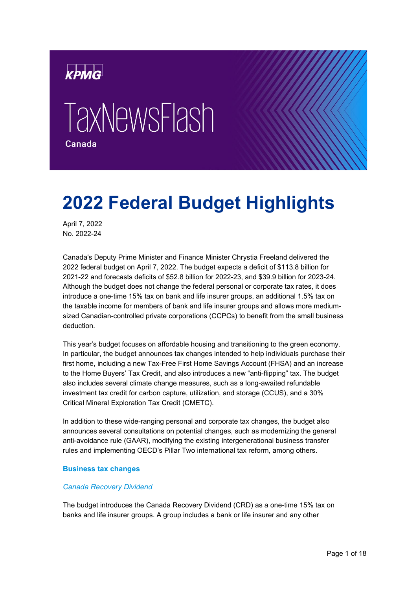

# **TaxNewsFlash**



# **2022 Federal Budget Highlights**

April 7, 2022 No. 2022-24

Canada's Deputy Prime Minister and Finance Minister Chrystia Freeland delivered the 2022 federal budget on April 7, 2022. The budget expects a deficit of \$113.8 billion for 2021-22 and forecasts deficits of \$52.8 billion for 2022-23, and \$39.9 billion for 2023-24. Although the budget does not change the federal personal or corporate tax rates, it does introduce a one-time 15% tax on bank and life insurer groups, an additional 1.5% tax on the taxable income for members of bank and life insurer groups and allows more mediumsized Canadian-controlled private corporations (CCPCs) to benefit from the small business deduction.

This year's budget focuses on affordable housing and transitioning to the green economy. In particular, the budget announces tax changes intended to help individuals purchase their first home, including a new Tax-Free First Home Savings Account (FHSA) and an increase to the Home Buyers' Tax Credit, and also introduces a new "anti-flipping" tax. The budget also includes several climate change measures, such as a long-awaited refundable investment tax credit for carbon capture, utilization, and storage (CCUS), and a 30% Critical Mineral Exploration Tax Credit (CMETC).

In addition to these wide-ranging personal and corporate tax changes, the budget also announces several consultations on potential changes, such as modernizing the general anti-avoidance rule (GAAR), modifying the existing intergenerational business transfer rules and implementing OECD's Pillar Two international tax reform, among others.

# **Business tax changes**

# *Canada Recovery Dividend*

The budget introduces the Canada Recovery Dividend (CRD) as a one-time 15% tax on banks and life insurer groups. A group includes a bank or life insurer and any other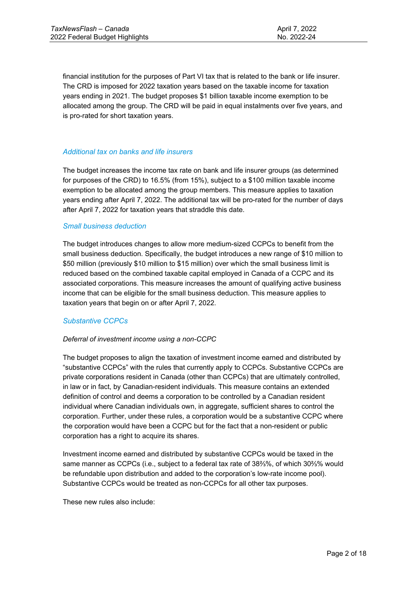financial institution for the purposes of Part VI tax that is related to the bank or life insurer. The CRD is imposed for 2022 taxation years based on the taxable income for taxation years ending in 2021. The budget proposes \$1 billion taxable income exemption to be allocated among the group. The CRD will be paid in equal instalments over five years, and is pro-rated for short taxation years.

#### *Additional tax on banks and life insurers*

The budget increases the income tax rate on bank and life insurer groups (as determined for purposes of the CRD) to 16.5% (from 15%), subject to a \$100 million taxable income exemption to be allocated among the group members. This measure applies to taxation years ending after April 7, 2022. The additional tax will be pro-rated for the number of days after April 7, 2022 for taxation years that straddle this date.

#### *Small business deduction*

The budget introduces changes to allow more medium-sized CCPCs to benefit from the small business deduction. Specifically, the budget introduces a new range of \$10 million to \$50 million (previously \$10 million to \$15 million) over which the small business limit is reduced based on the combined taxable capital employed in Canada of a CCPC and its associated corporations. This measure increases the amount of qualifying active business income that can be eligible for the small business deduction. This measure applies to taxation years that begin on or after April 7, 2022.

# *Substantive CCPCs*

# *Deferral of investment income using a non-CCPC*

The budget proposes to align the taxation of investment income earned and distributed by "substantive CCPCs" with the rules that currently apply to CCPCs. Substantive CCPCs are private corporations resident in Canada (other than CCPCs) that are ultimately controlled, in law or in fact, by Canadian-resident individuals. This measure contains an extended definition of control and deems a corporation to be controlled by a Canadian resident individual where Canadian individuals own, in aggregate, sufficient shares to control the corporation. Further, under these rules, a corporation would be a substantive CCPC where the corporation would have been a CCPC but for the fact that a non-resident or public corporation has a right to acquire its shares.

Investment income earned and distributed by substantive CCPCs would be taxed in the same manner as CCPCs (i.e., subject to a federal tax rate of 38⅔%, of which 30⅔% would be refundable upon distribution and added to the corporation's low-rate income pool). Substantive CCPCs would be treated as non-CCPCs for all other tax purposes.

These new rules also include: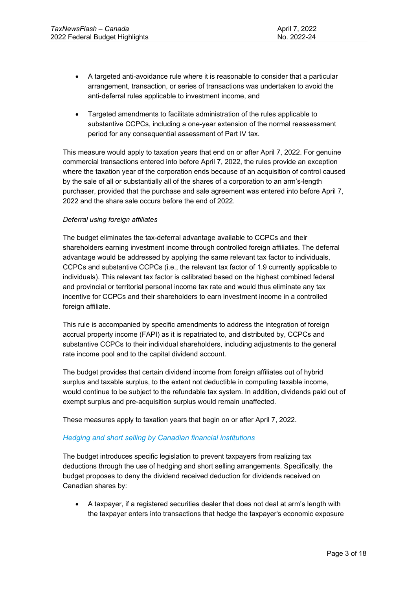- A targeted anti-avoidance rule where it is reasonable to consider that a particular arrangement, transaction, or series of transactions was undertaken to avoid the anti-deferral rules applicable to investment income, and
- Targeted amendments to facilitate administration of the rules applicable to substantive CCPCs, including a one-year extension of the normal reassessment period for any consequential assessment of Part IV tax.

This measure would apply to taxation years that end on or after April 7, 2022. For genuine commercial transactions entered into before April 7, 2022, the rules provide an exception where the taxation year of the corporation ends because of an acquisition of control caused by the sale of all or substantially all of the shares of a corporation to an arm's-length purchaser, provided that the purchase and sale agreement was entered into before April 7, 2022 and the share sale occurs before the end of 2022.

# *Deferral using foreign affiliates*

The budget eliminates the tax-deferral advantage available to CCPCs and their shareholders earning investment income through controlled foreign affiliates. The deferral advantage would be addressed by applying the same relevant tax factor to individuals, CCPCs and substantive CCPCs (i.e., the relevant tax factor of 1.9 currently applicable to individuals). This relevant tax factor is calibrated based on the highest combined federal and provincial or territorial personal income tax rate and would thus eliminate any tax incentive for CCPCs and their shareholders to earn investment income in a controlled foreign affiliate.

This rule is accompanied by specific amendments to address the integration of foreign accrual property income (FAPI) as it is repatriated to, and distributed by, CCPCs and substantive CCPCs to their individual shareholders, including adjustments to the general rate income pool and to the capital dividend account.

The budget provides that certain dividend income from foreign affiliates out of hybrid surplus and taxable surplus, to the extent not deductible in computing taxable income, would continue to be subject to the refundable tax system. In addition, dividends paid out of exempt surplus and pre-acquisition surplus would remain unaffected.

These measures apply to taxation years that begin on or after April 7, 2022.

# *Hedging and short selling by Canadian financial institutions*

The budget introduces specific legislation to prevent taxpayers from realizing tax deductions through the use of hedging and short selling arrangements. Specifically, the budget proposes to deny the dividend received deduction for dividends received on Canadian shares by:

• A taxpayer, if a registered securities dealer that does not deal at arm's length with the taxpayer enters into transactions that hedge the taxpayer's economic exposure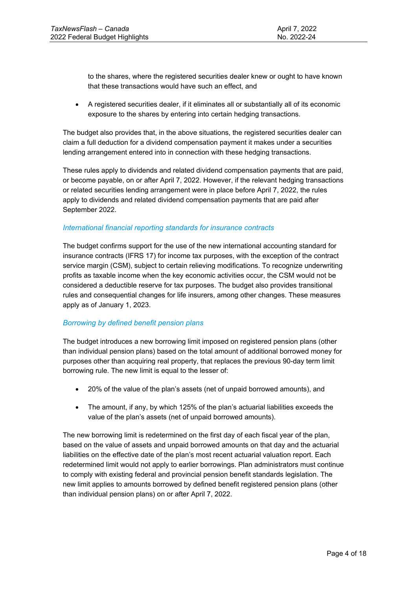to the shares, where the registered securities dealer knew or ought to have known that these transactions would have such an effect, and

• A registered securities dealer, if it eliminates all or substantially all of its economic exposure to the shares by entering into certain hedging transactions.

The budget also provides that, in the above situations, the registered securities dealer can claim a full deduction for a dividend compensation payment it makes under a securities lending arrangement entered into in connection with these hedging transactions.

These rules apply to dividends and related dividend compensation payments that are paid, or become payable, on or after April 7, 2022. However, if the relevant hedging transactions or related securities lending arrangement were in place before April 7, 2022, the rules apply to dividends and related dividend compensation payments that are paid after September 2022.

# *International financial reporting standards for insurance contracts*

The budget confirms support for the use of the new international accounting standard for insurance contracts (IFRS 17) for income tax purposes, with the exception of the contract service margin (CSM), subject to certain relieving modifications. To recognize underwriting profits as taxable income when the key economic activities occur, the CSM would not be considered a deductible reserve for tax purposes. The budget also provides transitional rules and consequential changes for life insurers, among other changes. These measures apply as of January 1, 2023.

# *Borrowing by defined benefit pension plans*

The budget introduces a new borrowing limit imposed on registered pension plans (other than individual pension plans) based on the total amount of additional borrowed money for purposes other than acquiring real property, that replaces the previous 90-day term limit borrowing rule. The new limit is equal to the lesser of:

- 20% of the value of the plan's assets (net of unpaid borrowed amounts), and
- The amount, if any, by which 125% of the plan's actuarial liabilities exceeds the value of the plan's assets (net of unpaid borrowed amounts).

The new borrowing limit is redetermined on the first day of each fiscal year of the plan, based on the value of assets and unpaid borrowed amounts on that day and the actuarial liabilities on the effective date of the plan's most recent actuarial valuation report. Each redetermined limit would not apply to earlier borrowings. Plan administrators must continue to comply with existing federal and provincial pension benefit standards legislation. The new limit applies to amounts borrowed by defined benefit registered pension plans (other than individual pension plans) on or after April 7, 2022.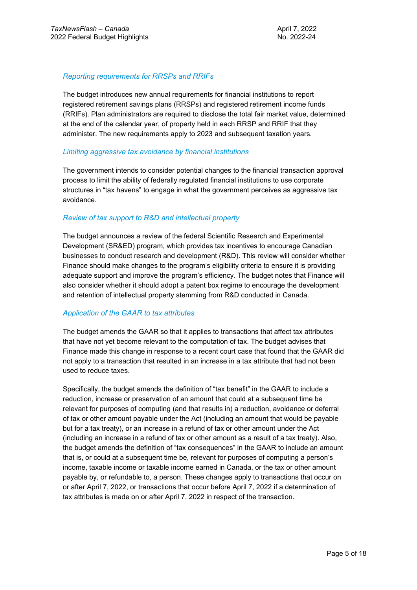# *Reporting requirements for RRSPs and RRIFs*

The budget introduces new annual requirements for financial institutions to report registered retirement savings plans (RRSPs) and registered retirement income funds (RRIFs). Plan administrators are required to disclose the total fair market value, determined at the end of the calendar year, of property held in each RRSP and RRIF that they administer. The new requirements apply to 2023 and subsequent taxation years.

#### *Limiting aggressive tax avoidance by financial institutions*

The government intends to consider potential changes to the financial transaction approval process to limit the ability of federally regulated financial institutions to use corporate structures in "tax havens" to engage in what the government perceives as aggressive tax avoidance.

# *Review of tax support to R&D and intellectual property*

The budget announces a review of the federal Scientific Research and Experimental Development (SR&ED) program, which provides tax incentives to encourage Canadian businesses to conduct research and development (R&D). This review will consider whether Finance should make changes to the program's eligibility criteria to ensure it is providing adequate support and improve the program's efficiency. The budget notes that Finance will also consider whether it should adopt a patent box regime to encourage the development and retention of intellectual property stemming from R&D conducted in Canada.

# *Application of the GAAR to tax attributes*

The budget amends the GAAR so that it applies to transactions that affect tax attributes that have not yet become relevant to the computation of tax. The budget advises that Finance made this change in response to a recent court case that found that the GAAR did not apply to a transaction that resulted in an increase in a tax attribute that had not been used to reduce taxes.

Specifically, the budget amends the definition of "tax benefit" in the GAAR to include a reduction, increase or preservation of an amount that could at a subsequent time be relevant for purposes of computing (and that results in) a reduction, avoidance or deferral of tax or other amount payable under the Act (including an amount that would be payable but for a tax treaty), or an increase in a refund of tax or other amount under the Act (including an increase in a refund of tax or other amount as a result of a tax treaty). Also, the budget amends the definition of "tax consequences" in the GAAR to include an amount that is, or could at a subsequent time be, relevant for purposes of computing a person's income, taxable income or taxable income earned in Canada, or the tax or other amount payable by, or refundable to, a person. These changes apply to transactions that occur on or after April 7, 2022, or transactions that occur before April 7, 2022 if a determination of tax attributes is made on or after April 7, 2022 in respect of the transaction.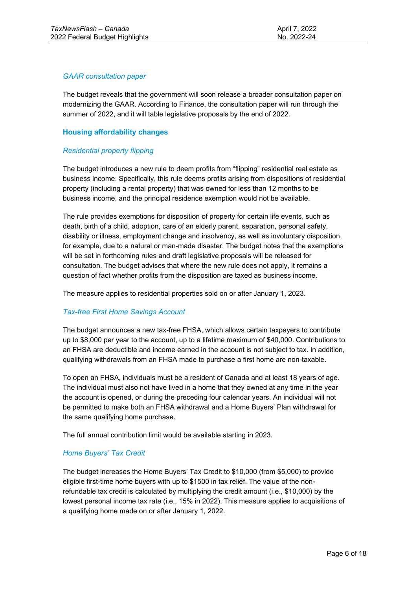# *GAAR consultation paper*

The budget reveals that the government will soon release a broader consultation paper on modernizing the GAAR. According to Finance, the consultation paper will run through the summer of 2022, and it will table legislative proposals by the end of 2022.

# **Housing affordability changes**

# *Residential property flipping*

The budget introduces a new rule to deem profits from "flipping" residential real estate as business income. Specifically, this rule deems profits arising from dispositions of residential property (including a rental property) that was owned for less than 12 months to be business income, and the principal residence exemption would not be available.

The rule provides exemptions for disposition of property for certain life events, such as death, birth of a child, adoption, care of an elderly parent, separation, personal safety, disability or illness, employment change and insolvency, as well as involuntary disposition, for example, due to a natural or man-made disaster. The budget notes that the exemptions will be set in forthcoming rules and draft legislative proposals will be released for consultation. The budget advises that where the new rule does not apply, it remains a question of fact whether profits from the disposition are taxed as business income.

The measure applies to residential properties sold on or after January 1, 2023.

# *Tax-free First Home Savings Account*

The budget announces a new tax-free FHSA, which allows certain taxpayers to contribute up to \$8,000 per year to the account, up to a lifetime maximum of \$40,000. Contributions to an FHSA are deductible and income earned in the account is not subject to tax. In addition, qualifying withdrawals from an FHSA made to purchase a first home are non-taxable.

To open an FHSA, individuals must be a resident of Canada and at least 18 years of age. The individual must also not have lived in a home that they owned at any time in the year the account is opened, or during the preceding four calendar years. An individual will not be permitted to make both an FHSA withdrawal and a Home Buyers' Plan withdrawal for the same qualifying home purchase.

The full annual contribution limit would be available starting in 2023.

# *Home Buyers' Tax Credit*

The budget increases the Home Buyers' Tax Credit to \$10,000 (from \$5,000) to provide eligible first-time home buyers with up to \$1500 in tax relief. The value of the nonrefundable tax credit is calculated by multiplying the credit amount (i.e., \$10,000) by the lowest personal income tax rate (i.e., 15% in 2022). This measure applies to acquisitions of a qualifying home made on or after January 1, 2022.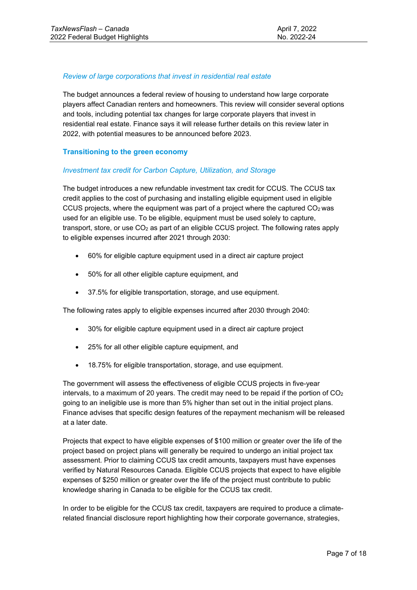# *Review of large corporations that invest in residential real estate*

The budget announces a federal review of housing to understand how large corporate players affect Canadian renters and homeowners. This review will consider several options and tools, including potential tax changes for large corporate players that invest in residential real estate. Finance says it will release further details on this review later in 2022, with potential measures to be announced before 2023.

# **Transitioning to the green economy**

# *Investment tax credit for Carbon Capture, Utilization, and Storage*

The budget introduces a new refundable investment tax credit for CCUS. The CCUS tax credit applies to the cost of purchasing and installing eligible equipment used in eligible CCUS projects, where the equipment was part of a project where the captured  $CO<sub>2</sub>$  was used for an eligible use. To be eligible, equipment must be used solely to capture, transport, store, or use  $CO<sub>2</sub>$  as part of an eligible CCUS project. The following rates apply to eligible expenses incurred after 2021 through 2030:

- 60% for eligible capture equipment used in a direct air capture project
- 50% for all other eligible capture equipment, and
- 37.5% for eligible transportation, storage, and use equipment.

The following rates apply to eligible expenses incurred after 2030 through 2040:

- 30% for eligible capture equipment used in a direct air capture project
- 25% for all other eligible capture equipment, and
- 18.75% for eligible transportation, storage, and use equipment.

The government will assess the effectiveness of eligible CCUS projects in five-year intervals, to a maximum of 20 years. The credit may need to be repaid if the portion of  $CO<sub>2</sub>$ going to an ineligible use is more than 5% higher than set out in the initial project plans. Finance advises that specific design features of the repayment mechanism will be released at a later date.

Projects that expect to have eligible expenses of \$100 million or greater over the life of the project based on project plans will generally be required to undergo an initial project tax assessment. Prior to claiming CCUS tax credit amounts, taxpayers must have expenses verified by Natural Resources Canada. Eligible CCUS projects that expect to have eligible expenses of \$250 million or greater over the life of the project must contribute to public knowledge sharing in Canada to be eligible for the CCUS tax credit.

In order to be eligible for the CCUS tax credit, taxpayers are required to produce a climaterelated financial disclosure report highlighting how their corporate governance, strategies,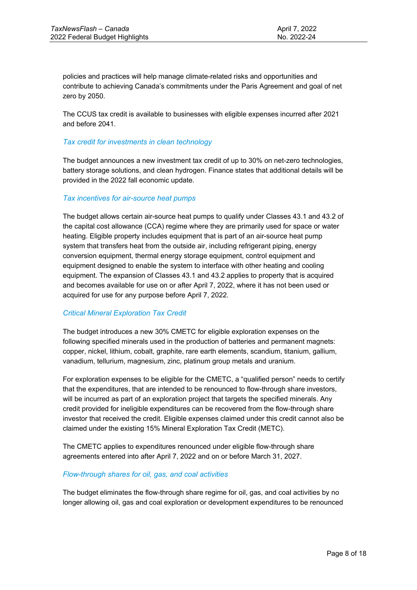policies and practices will help manage climate-related risks and opportunities and contribute to achieving Canada's commitments under the Paris Agreement and goal of net zero by 2050.

The CCUS tax credit is available to businesses with eligible expenses incurred after 2021 and before 2041.

# *Tax credit for investments in clean technology*

The budget announces a new investment tax credit of up to 30% on net-zero technologies, battery storage solutions, and clean hydrogen. Finance states that additional details will be provided in the 2022 fall economic update.

# *Tax incentives for air-source heat pumps*

The budget allows certain air-source heat pumps to qualify under Classes 43.1 and 43.2 of the capital cost allowance (CCA) regime where they are primarily used for space or water heating. Eligible property includes equipment that is part of an air-source heat pump system that transfers heat from the outside air, including refrigerant piping, energy conversion equipment, thermal energy storage equipment, control equipment and equipment designed to enable the system to interface with other heating and cooling equipment. The expansion of Classes 43.1 and 43.2 applies to property that is acquired and becomes available for use on or after April 7, 2022, where it has not been used or acquired for use for any purpose before April 7, 2022.

# *Critical Mineral Exploration Tax Credit*

The budget introduces a new 30% CMETC for eligible exploration expenses on the following specified minerals used in the production of batteries and permanent magnets: copper, nickel, lithium, cobalt, graphite, rare earth elements, scandium, titanium, gallium, vanadium, tellurium, magnesium, zinc, platinum group metals and uranium.

For exploration expenses to be eligible for the CMETC, a "qualified person" needs to certify that the expenditures, that are intended to be renounced to flow-through share investors, will be incurred as part of an exploration project that targets the specified minerals. Any credit provided for ineligible expenditures can be recovered from the flow-through share investor that received the credit. Eligible expenses claimed under this credit cannot also be claimed under the existing 15% Mineral Exploration Tax Credit (METC).

The CMETC applies to expenditures renounced under eligible flow-through share agreements entered into after April 7, 2022 and on or before March 31, 2027.

#### *Flow-through shares for oil, gas, and coal activities*

The budget eliminates the flow-through share regime for oil, gas, and coal activities by no longer allowing oil, gas and coal exploration or development expenditures to be renounced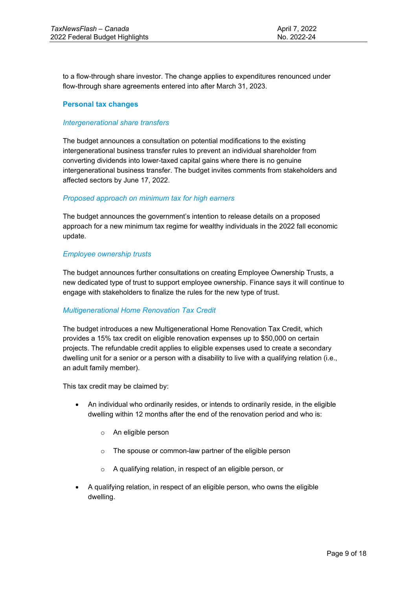to a flow-through share investor. The change applies to expenditures renounced under flow-through share agreements entered into after March 31, 2023.

# **Personal tax changes**

#### *Intergenerational share transfers*

The budget announces a consultation on potential modifications to the existing intergenerational business transfer rules to prevent an individual shareholder from converting dividends into lower-taxed capital gains where there is no genuine intergenerational business transfer. The budget invites comments from stakeholders and affected sectors by June 17, 2022.

#### *Proposed approach on minimum tax for high earners*

The budget announces the government's intention to release details on a proposed approach for a new minimum tax regime for wealthy individuals in the 2022 fall economic update.

#### *Employee ownership trusts*

The budget announces further consultations on creating Employee Ownership Trusts, a new dedicated type of trust to support employee ownership. Finance says it will continue to engage with stakeholders to finalize the rules for the new type of trust.

#### *Multigenerational Home Renovation Tax Credit*

The budget introduces a new Multigenerational Home Renovation Tax Credit, which provides a 15% tax credit on eligible renovation expenses up to \$50,000 on certain projects. The refundable credit applies to eligible expenses used to create a secondary dwelling unit for a senior or a person with a disability to live with a qualifying relation (i.e., an adult family member).

This tax credit may be claimed by:

- An individual who ordinarily resides, or intends to ordinarily reside, in the eligible dwelling within 12 months after the end of the renovation period and who is:
	- o An eligible person
	- o The spouse or common-law partner of the eligible person
	- o A qualifying relation, in respect of an eligible person, or
- A qualifying relation, in respect of an eligible person, who owns the eligible dwelling.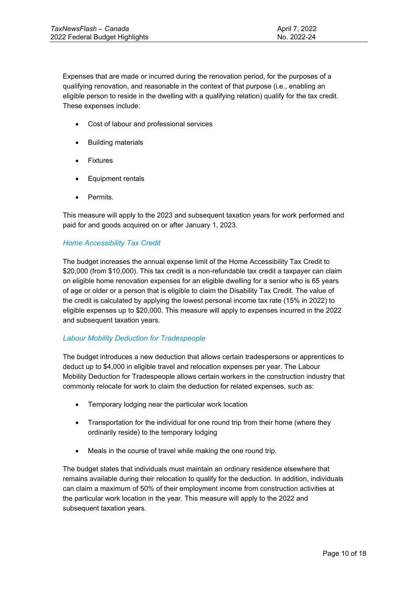Expenses that are made or incurred during the renovation period, for the purposes of a qualifying renovation, and reasonable in the context of that purpose (i.e., enabling an eligible person to reside in the dwelling with a qualifying relation) qualify for the tax credit. These expenses include:

- Cost of labour and professional services
- Building materials
- **Fixtures**
- Equipment rentals
- Permits.

This measure will apply to the 2023 and subsequent taxation years for work performed and paid for and goods acquired on or after January 1, 2023.

# *Home Accessibility Tax Credit*

The budget increases the annual expense limit of the Home Accessibility Tax Credit to \$20,000 (from \$10,000). This tax credit is a non-refundable tax credit a taxpayer can claim on eligible home renovation expenses for an eligible dwelling for a senior who is 65 years of age or older or a person that is eligible to claim the Disability Tax Credit. The value of the credit is calculated by applying the lowest personal income tax rate (15% in 2022) to eligible expenses up to \$20,000. This measure will apply to expenses incurred in the 2022 and subsequent taxation years.

# *Labour Mobility Deduction for Tradespeople*

The budget introduces a new deduction that allows certain tradespersons or apprentices to deduct up to \$4,000 in eligible travel and relocation expenses per year. The Labour Mobility Deduction for Tradespeople allows certain workers in the construction industry that commonly relocate for work to claim the deduction for related expenses, such as:

- Temporary lodging near the particular work location
- Transportation for the individual for one round trip from their home (where they ordinarily reside) to the temporary lodging
- Meals in the course of travel while making the one round trip.

The budget states that individuals must maintain an ordinary residence elsewhere that remains available during their relocation to qualify for the deduction. In addition, individuals can claim a maximum of 50% of their employment income from construction activities at the particular work location in the year. This measure will apply to the 2022 and subsequent taxation years.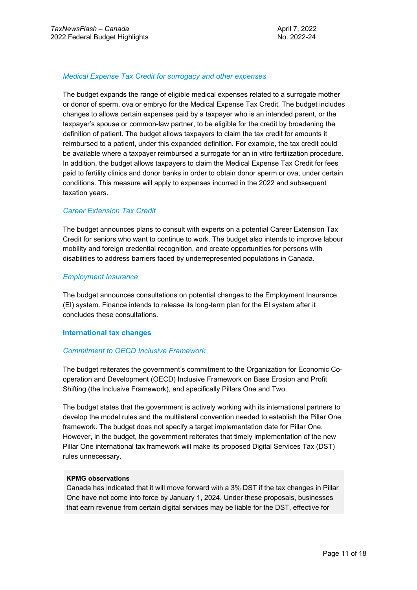# *Medical Expense Tax Credit for surrogacy and other expenses*

The budget expands the range of eligible medical expenses related to a surrogate mother or donor of sperm, ova or embryo for the Medical Expense Tax Credit. The budget includes changes to allows certain expenses paid by a taxpayer who is an intended parent, or the taxpayer's spouse or common-law partner, to be eligible for the credit by broadening the definition of patient. The budget allows taxpayers to claim the tax credit for amounts it reimbursed to a patient, under this expanded definition. For example, the tax credit could be available where a taxpayer reimbursed a surrogate for an in vitro fertilization procedure. In addition, the budget allows taxpayers to claim the Medical Expense Tax Credit for fees paid to fertility clinics and donor banks in order to obtain donor sperm or ova, under certain conditions. This measure will apply to expenses incurred in the 2022 and subsequent taxation years.

# *Career Extension Tax Credit*

The budget announces plans to consult with experts on a potential Career Extension Tax Credit for seniors who want to continue to work. The budget also intends to improve labour mobility and foreign credential recognition, and create opportunities for persons with disabilities to address barriers faced by underrepresented populations in Canada.

#### *Employment Insurance*

The budget announces consultations on potential changes to the Employment Insurance (EI) system. Finance intends to release its long-term plan for the EI system after it concludes these consultations.

# **International tax changes**

# *Commitment to OECD Inclusive Framework*

The budget reiterates the government's commitment to the Organization for Economic Cooperation and Development (OECD) Inclusive Framework on Base Erosion and Profit Shifting (the Inclusive Framework), and specifically Pillars One and Two.

The budget states that the government is actively working with its international partners to develop the model rules and the multilateral convention needed to establish the Pillar One framework. The budget does not specify a target implementation date for Pillar One. However, in the budget, the government reiterates that timely implementation of the new Pillar One international tax framework will make its proposed Digital Services Tax (DST) rules unnecessary.

#### **KPMG observations**

Canada has indicated that it will move forward with a 3% DST if the tax changes in Pillar One have not come into force by January 1, 2024. Under these proposals, businesses that earn revenue from certain digital services may be liable for the DST, effective for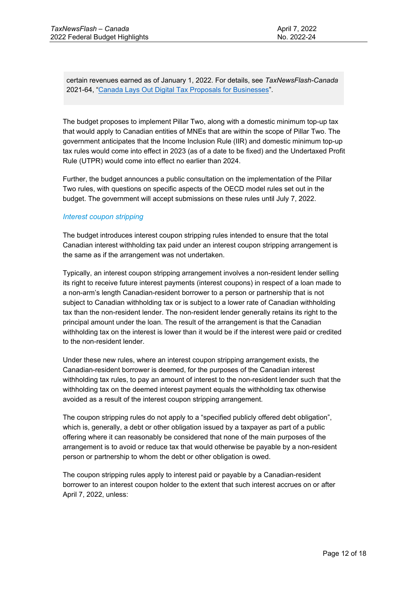certain revenues earned as of January 1, 2022. For details, see *TaxNewsFlash-Canada* 2021-64, ["Canada Lays Out Digital Tax Proposals for Businesses"](https://assets.kpmg/content/dam/kpmg/ca/pdf/tnf/2021/ca-canada-lays-out-digital-tax-proposals-for-businesses.pdf).

The budget proposes to implement Pillar Two, along with a domestic minimum top-up tax that would apply to Canadian entities of MNEs that are within the scope of Pillar Two. The government anticipates that the Income Inclusion Rule (IIR) and domestic minimum top-up tax rules would come into effect in 2023 (as of a date to be fixed) and the Undertaxed Profit Rule (UTPR) would come into effect no earlier than 2024.

Further, the budget announces a public consultation on the implementation of the Pillar Two rules, with questions on specific aspects of the OECD model rules set out in the budget. The government will accept submissions on these rules until July 7, 2022.

# *Interest coupon stripping*

The budget introduces interest coupon stripping rules intended to ensure that the total Canadian interest withholding tax paid under an interest coupon stripping arrangement is the same as if the arrangement was not undertaken.

Typically, an interest coupon stripping arrangement involves a non-resident lender selling its right to receive future interest payments (interest coupons) in respect of a loan made to a non-arm's length Canadian-resident borrower to a person or partnership that is not subject to Canadian withholding tax or is subject to a lower rate of Canadian withholding tax than the non-resident lender. The non-resident lender generally retains its right to the principal amount under the loan. The result of the arrangement is that the Canadian withholding tax on the interest is lower than it would be if the interest were paid or credited to the non-resident lender.

Under these new rules, where an interest coupon stripping arrangement exists, the Canadian-resident borrower is deemed, for the purposes of the Canadian interest withholding tax rules, to pay an amount of interest to the non-resident lender such that the withholding tax on the deemed interest payment equals the withholding tax otherwise avoided as a result of the interest coupon stripping arrangement.

The coupon stripping rules do not apply to a "specified publicly offered debt obligation", which is, generally, a debt or other obligation issued by a taxpayer as part of a public offering where it can reasonably be considered that none of the main purposes of the arrangement is to avoid or reduce tax that would otherwise be payable by a non-resident person or partnership to whom the debt or other obligation is owed.

The coupon stripping rules apply to interest paid or payable by a Canadian-resident borrower to an interest coupon holder to the extent that such interest accrues on or after April 7, 2022, unless: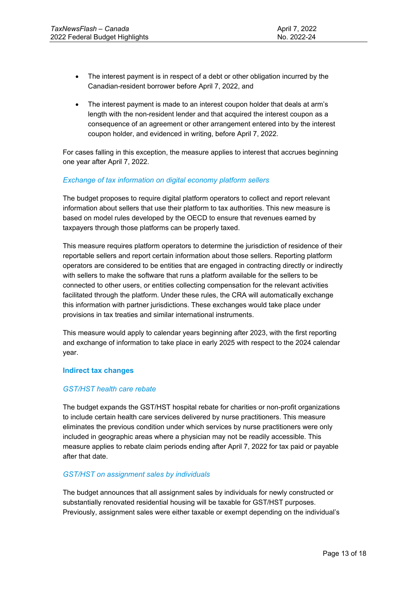- The interest payment is in respect of a debt or other obligation incurred by the Canadian-resident borrower before April 7, 2022, and
- The interest payment is made to an interest coupon holder that deals at arm's length with the non-resident lender and that acquired the interest coupon as a consequence of an agreement or other arrangement entered into by the interest coupon holder, and evidenced in writing, before April 7, 2022.

For cases falling in this exception, the measure applies to interest that accrues beginning one year after April 7, 2022.

# *Exchange of tax information on digital economy platform sellers*

The budget proposes to require digital platform operators to collect and report relevant information about sellers that use their platform to tax authorities. This new measure is based on model rules developed by the OECD to ensure that revenues earned by taxpayers through those platforms can be properly taxed.

This measure requires platform operators to determine the jurisdiction of residence of their reportable sellers and report certain information about those sellers. Reporting platform operators are considered to be entities that are engaged in contracting directly or indirectly with sellers to make the software that runs a platform available for the sellers to be connected to other users, or entities collecting compensation for the relevant activities facilitated through the platform. Under these rules, the CRA will automatically exchange this information with partner jurisdictions. These exchanges would take place under provisions in tax treaties and similar international instruments.

This measure would apply to calendar years beginning after 2023, with the first reporting and exchange of information to take place in early 2025 with respect to the 2024 calendar year.

# **Indirect tax changes**

# *GST/HST health care rebate*

The budget expands the GST/HST hospital rebate for charities or non-profit organizations to include certain health care services delivered by nurse practitioners. This measure eliminates the previous condition under which services by nurse practitioners were only included in geographic areas where a physician may not be readily accessible. This measure applies to rebate claim periods ending after April 7, 2022 for tax paid or payable after that date.

# *GST/HST on assignment sales by individuals*

The budget announces that all assignment sales by individuals for newly constructed or substantially renovated residential housing will be taxable for GST/HST purposes. Previously, assignment sales were either taxable or exempt depending on the individual's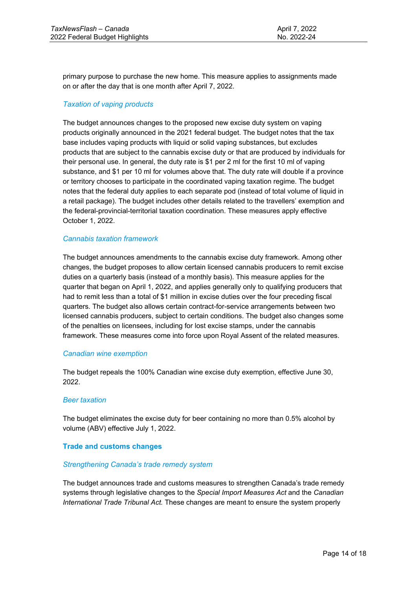primary purpose to purchase the new home. This measure applies to assignments made on or after the day that is one month after April 7, 2022.

# *Taxation of vaping products*

The budget announces changes to the proposed new excise duty system on vaping products originally announced in the 2021 federal budget. The budget notes that the tax base includes vaping products with liquid or solid vaping substances, but excludes products that are subject to the cannabis excise duty or that are produced by individuals for their personal use. In general, the duty rate is \$1 per 2 ml for the first 10 ml of vaping substance, and \$1 per 10 ml for volumes above that. The duty rate will double if a province or territory chooses to participate in the coordinated vaping taxation regime. The budget notes that the federal duty applies to each separate pod (instead of total volume of liquid in a retail package). The budget includes other details related to the travellers' exemption and the federal-provincial-territorial taxation coordination. These measures apply effective October 1, 2022.

#### *Cannabis taxation framework*

The budget announces amendments to the cannabis excise duty framework. Among other changes, the budget proposes to allow certain licensed cannabis producers to remit excise duties on a quarterly basis (instead of a monthly basis). This measure applies for the quarter that began on April 1, 2022, and applies generally only to qualifying producers that had to remit less than a total of \$1 million in excise duties over the four preceding fiscal quarters. The budget also allows certain contract-for-service arrangements between two licensed cannabis producers, subject to certain conditions. The budget also changes some of the penalties on licensees, including for lost excise stamps, under the cannabis framework. These measures come into force upon Royal Assent of the related measures.

#### *Canadian wine exemption*

The budget repeals the 100% Canadian wine excise duty exemption, effective June 30, 2022.

#### *Beer taxation*

The budget eliminates the excise duty for beer containing no more than 0.5% alcohol by volume (ABV) effective July 1, 2022.

#### **Trade and customs changes**

#### *Strengthening Canada's trade remedy system*

The budget announces trade and customs measures to strengthen Canada's trade remedy systems through legislative changes to the *Special Import Measures Act* and the *Canadian International Trade Tribunal Act.* These changes are meant to ensure the system properly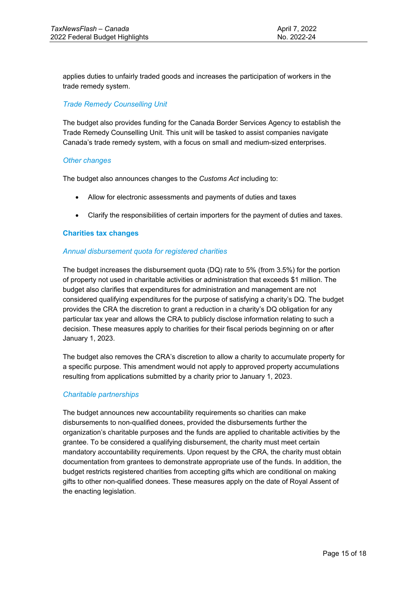applies duties to unfairly traded goods and increases the participation of workers in the trade remedy system.

# *Trade Remedy Counselling Unit*

The budget also provides funding for the Canada Border Services Agency to establish the Trade Remedy Counselling Unit. This unit will be tasked to assist companies navigate Canada's trade remedy system, with a focus on small and medium-sized enterprises.

#### *Other changes*

The budget also announces changes to the *Customs Act* including to:

- Allow for electronic assessments and payments of duties and taxes
- Clarify the responsibilities of certain importers for the payment of duties and taxes.

#### **Charities tax changes**

#### *Annual disbursement quota for registered charities*

The budget increases the disbursement quota (DQ) rate to 5% (from 3.5%) for the portion of property not used in charitable activities or administration that exceeds \$1 million. The budget also clarifies that expenditures for administration and management are not considered qualifying expenditures for the purpose of satisfying a charity's DQ. The budget provides the CRA the discretion to grant a reduction in a charity's DQ obligation for any particular tax year and allows the CRA to publicly disclose information relating to such a decision. These measures apply to charities for their fiscal periods beginning on or after January 1, 2023.

The budget also removes the CRA's discretion to allow a charity to accumulate property for a specific purpose. This amendment would not apply to approved property accumulations resulting from applications submitted by a charity prior to January 1, 2023.

#### *Charitable partnerships*

The budget announces new accountability requirements so charities can make disbursements to non-qualified donees, provided the disbursements further the organization's charitable purposes and the funds are applied to charitable activities by the grantee. To be considered a qualifying disbursement, the charity must meet certain mandatory accountability requirements. Upon request by the CRA, the charity must obtain documentation from grantees to demonstrate appropriate use of the funds. In addition, the budget restricts registered charities from accepting gifts which are conditional on making gifts to other non-qualified donees. These measures apply on the date of Royal Assent of the enacting legislation.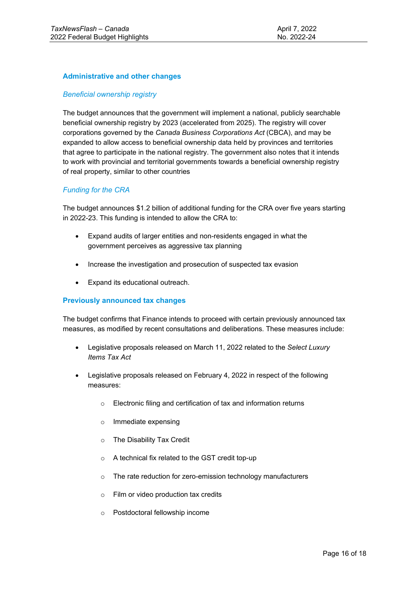# **Administrative and other changes**

# *Beneficial ownership registry*

The budget announces that the government will implement a national, publicly searchable beneficial ownership registry by 2023 (accelerated from 2025). The registry will cover corporations governed by the *Canada Business Corporations Act* (CBCA), and may be expanded to allow access to beneficial ownership data held by provinces and territories that agree to participate in the national registry. The government also notes that it intends to work with provincial and territorial governments towards a beneficial ownership registry of real property, similar to other countries

#### *Funding for the CRA*

The budget announces \$1.2 billion of additional funding for the CRA over five years starting in 2022-23. This funding is intended to allow the CRA to:

- Expand audits of larger entities and non-residents engaged in what the government perceives as aggressive tax planning
- Increase the investigation and prosecution of suspected tax evasion
- Expand its educational outreach.

#### **Previously announced tax changes**

The budget confirms that Finance intends to proceed with certain previously announced tax measures, as modified by recent consultations and deliberations. These measures include:

- Legislative proposals released on March 11, 2022 related to the *Select Luxury Items Tax Act*
- Legislative proposals released on February 4, 2022 in respect of the following measures:
	- o Electronic filing and certification of tax and information returns
	- o Immediate expensing
	- o The Disability Tax Credit
	- o A technical fix related to the GST credit top-up
	- o The rate reduction for zero-emission technology manufacturers
	- o Film or video production tax credits
	- o Postdoctoral fellowship income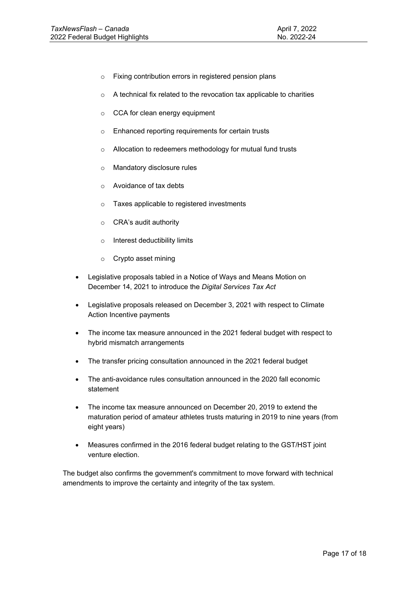- o Fixing contribution errors in registered pension plans
- o A technical fix related to the revocation tax applicable to charities
- o CCA for clean energy equipment
- o Enhanced reporting requirements for certain trusts
- o Allocation to redeemers methodology for mutual fund trusts
- o Mandatory disclosure rules
- o Avoidance of tax debts
- o Taxes applicable to registered investments
- o CRA's audit authority
- o Interest deductibility limits
- o Crypto asset mining
- Legislative proposals tabled in a Notice of Ways and Means Motion on December 14, 2021 to introduce the *Digital Services Tax Act*
- Legislative proposals released on December 3, 2021 with respect to Climate Action Incentive payments
- The income tax measure announced in the 2021 federal budget with respect to hybrid mismatch arrangements
- The transfer pricing consultation announced in the 2021 federal budget
- The anti-avoidance rules consultation announced in the 2020 fall economic statement
- The income tax measure announced on December 20, 2019 to extend the maturation period of amateur athletes trusts maturing in 2019 to nine years (from eight years)
- Measures confirmed in the 2016 federal budget relating to the GST/HST joint venture election.

The budget also confirms the government's commitment to move forward with technical amendments to improve the certainty and integrity of the tax system.